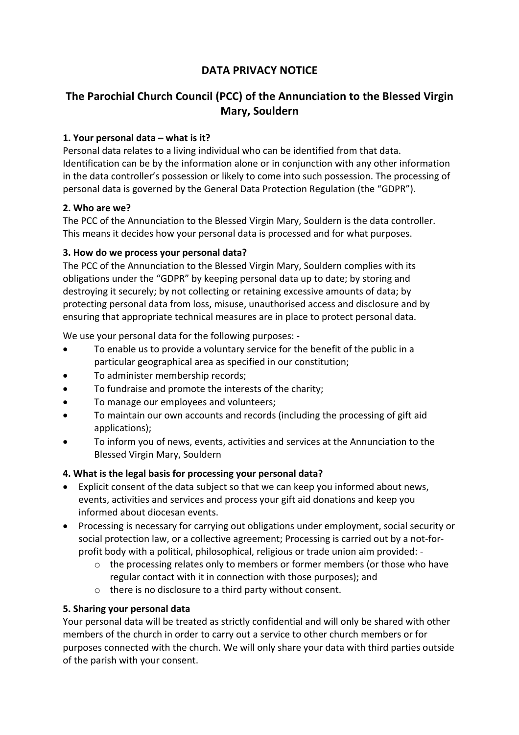## **DATA PRIVACY NOTICE**

# **The Parochial Church Council (PCC) of the Annunciation to the Blessed Virgin Mary, Souldern**

### **1. Your personal data – what is it?**

Personal data relates to a living individual who can be identified from that data. Identification can be by the information alone or in conjunction with any other information in the data controller's possession or likely to come into such possession. The processing of personal data is governed by the General Data Protection Regulation (the "GDPR").

#### **2. Who are we?**

The PCC of the Annunciation to the Blessed Virgin Mary, Souldern is the data controller. This means it decides how your personal data is processed and for what purposes.

#### **3. How do we process your personal data?**

The PCC of the Annunciation to the Blessed Virgin Mary, Souldern complies with its obligations under the "GDPR" by keeping personal data up to date; by storing and destroying it securely; by not collecting or retaining excessive amounts of data; by protecting personal data from loss, misuse, unauthorised access and disclosure and by ensuring that appropriate technical measures are in place to protect personal data.

We use your personal data for the following purposes: -

- To enable us to provide a voluntary service for the benefit of the public in a particular geographical area as specified in our constitution;
- To administer membership records;
- To fundraise and promote the interests of the charity;
- To manage our employees and volunteers;
- To maintain our own accounts and records (including the processing of gift aid applications);
- To inform you of news, events, activities and services at the Annunciation to the Blessed Virgin Mary, Souldern

#### **4. What is the legal basis for processing your personal data?**

- Explicit consent of the data subject so that we can keep you informed about news, events, activities and services and process your gift aid donations and keep you informed about diocesan events.
- Processing is necessary for carrying out obligations under employment, social security or social protection law, or a collective agreement; Processing is carried out by a not-forprofit body with a political, philosophical, religious or trade union aim provided:
	- o the processing relates only to members or former members (or those who have regular contact with it in connection with those purposes); and
	- o there is no disclosure to a third party without consent.

#### **5. Sharing your personal data**

Your personal data will be treated as strictly confidential and will only be shared with other members of the church in order to carry out a service to other church members or for purposes connected with the church. We will only share your data with third parties outside of the parish with your consent.